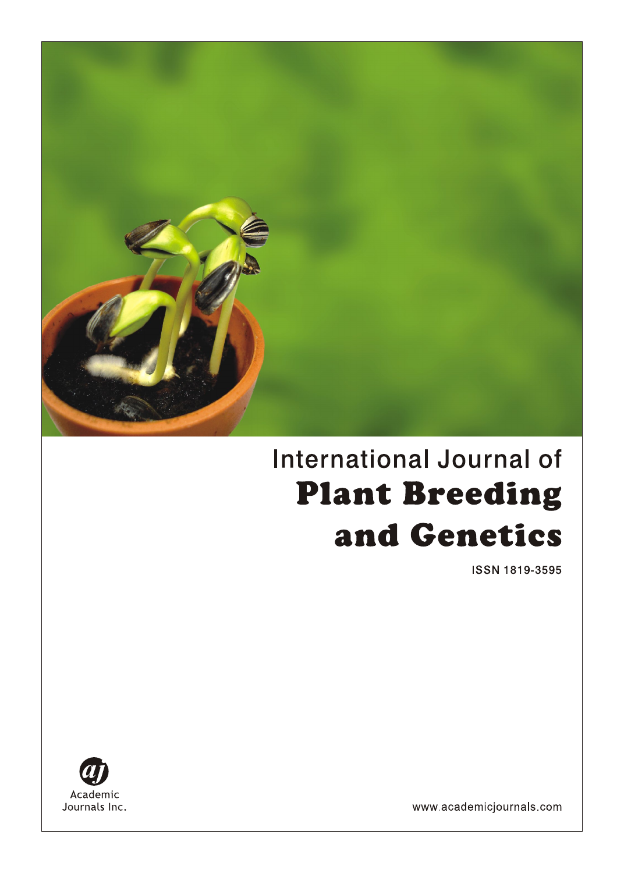

# **International Journal of Plant Breeding** and Genetics

ISSN 1819-3595



www.academicjournals.com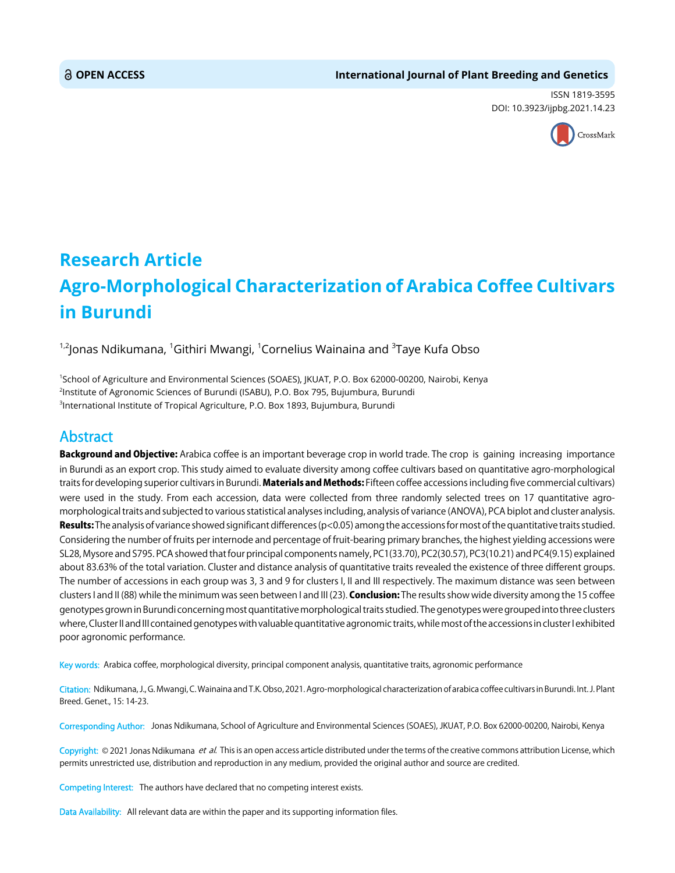ISSN 1819-3595 DOI: 10.3923/ijpbg.2021.14.23



# **Research Article Agro-Morphological Characterization of Arabica Coffee Cultivars in Burundi**

<sup>1,2</sup>Jonas Ndikumana, <sup>1</sup>Githiri Mwangi, <sup>1</sup>Cornelius Wainaina and <sup>3</sup>Taye Kufa Obso

1 School of Agriculture and Environmental Sciences (SOAES), JKUAT, P.O. Box 62000-00200, Nairobi, Kenya 2 Institute of Agronomic Sciences of Burundi (ISABU), P.O. Box 795, Bujumbura, Burundi 3 International Institute of Tropical Agriculture, P.O. Box 1893, Bujumbura, Burundi

# Abstract

Background and Objective: Arabica coffee is an important beverage crop in world trade. The crop is gaining increasing importance in Burundi as an export crop. This study aimed to evaluate diversity among coffee cultivars based on quantitative agro-morphological traits for developing superior cultivars in Burundi. Materials and Methods: Fifteen coffee accessions including five commercial cultivars) were used in the study. From each accession, data were collected from three randomly selected trees on 17 quantitative agromorphological traits and subjected to various statistical analyses including, analysis of variance (ANOVA), PCA biplot and cluster analysis. Results: The analysis of variance showed significant differences ( $p<0.05$ ) among the accessions for most of the quantitative traits studied. Considering the number of fruits per internode and percentage of fruit-bearing primary branches, the highest yielding accessions were SL28, Mysore and S795. PCA showed that four principal components namely, PC1(33.70), PC2(30.57), PC3(10.21) and PC4(9.15) explained about 83.63% of the total variation. Cluster and distance analysis of quantitative traits revealed the existence of three different groups. The number of accessions in each group was 3, 3 and 9 for clusters I, II and III respectively. The maximum distance was seen between clusters I and II (88) while the minimum was seen between I and III (23). Conclusion: The results show wide diversity among the 15 coffee genotypes grown in Burundi concerning most quantitative morphological traits studied. The genotypes were grouped into three clusters where, Cluster II and III contained genotypes with valuable quantitative agronomic traits, while most of the accessions in cluster I exhibited poor agronomic performance.

Key words: Arabica coffee, morphological diversity, principal component analysis, quantitative traits, agronomic performance

Citation: Ndikumana, J., G. Mwangi, C. Wainaina and T.K. Obso, 2021. Agro-morphological characterization of arabica coffee cultivars in Burundi. Int. J. Plant Breed. Genet., 15: 14-23.

Corresponding Author: Jonas Ndikumana, School of Agriculture and Environmental Sciences (SOAES), JKUAT, P.O. Box 62000-00200, Nairobi, Kenya

Copyright: © 2021 Jonas Ndikumana et al. This is an open access article distributed under the terms of the creative commons attribution License, which permits unrestricted use, distribution and reproduction in any medium, provided the original author and source are credited.

Competing Interest: The authors have declared that no competing interest exists.

Data Availability: All relevant data are within the paper and its supporting information files.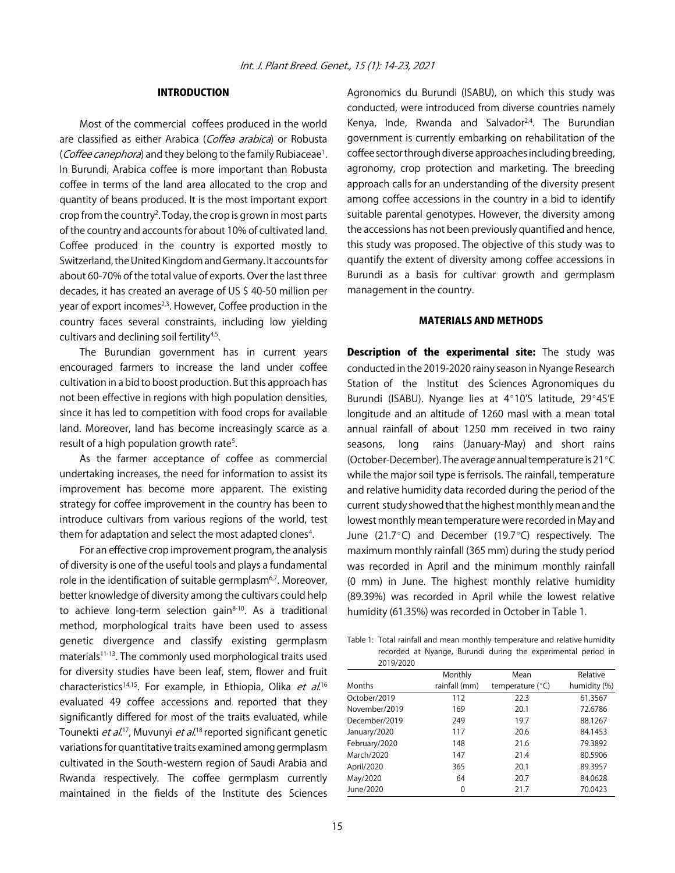# INTRODUCTION

Most of the commercial coffees produced in the world are classified as either Arabica (Coffea arabica) or Robusta (Coffee canephora) and they belong to the family Rubiaceae<sup>1</sup>. In Burundi, Arabica coffee is more important than Robusta coffee in terms of the land area allocated to the crop and quantity of beans produced. It is the most important export crop from the country<sup>2</sup>. Today, the crop is grown in most parts of the country and accounts for about 10% of cultivated land. Coffee produced in the country is exported mostly to Switzerland, the United Kingdom and Germany. It accounts for about 60-70% of the total value of exports. Over the last three decades, it has created an average of US \$ 40-50 million per year of export incomes<sup>2,3</sup>. However, Coffee production in the country faces several constraints, including low yielding cultivars and declining soil fertility<sup>4,5</sup>.

The Burundian government has in current years encouraged farmers to increase the land under coffee cultivation in a bid to boost production. But this approach has not been effective in regions with high population densities, since it has led to competition with food crops for available land. Moreover, land has become increasingly scarce as a result of a high population growth rate<sup>5</sup>.

As the farmer acceptance of coffee as commercial undertaking increases, the need for information to assist its improvement has become more apparent. The existing strategy for coffee improvement in the country has been to introduce cultivars from various regions of the world, test them for adaptation and select the most adapted clones<sup>4</sup>.

For an effective crop improvement program, the analysis of diversity is one of the useful tools and plays a fundamental role in the identification of suitable germplasm<sup>6,7</sup>. Moreover, better knowledge of diversity among the cultivars could help to achieve long-term selection gain $8-10$ . As a traditional method, morphological traits have been used to assess genetic divergence and classify existing germplasm materials<sup>11-13</sup>. The commonly used morphological traits used for diversity studies have been leaf, stem, flower and fruit characteristics<sup>14,15</sup>. For example, in Ethiopia, Olika et al.<sup>16</sup> evaluated 49 coffee accessions and reported that they significantly differed for most of the traits evaluated, while Tounekti *et al*.<sup>17</sup>, Muvunyi *et al*.<sup>18</sup> reported significant genetic variations for quantitative traits examined among germplasm cultivated in the South-western region of Saudi Arabia and Rwanda respectively. The coffee germplasm currently maintained in the fields of the Institute des Sciences

Agronomics du Burundi (ISABU), on which this study was conducted, were introduced from diverse countries namely Kenya, Inde, Rwanda and Salvador $2,4$ . The Burundian government is currently embarking on rehabilitation of the coffee sector through diverse approaches including breeding, agronomy, crop protection and marketing. The breeding approach calls for an understanding of the diversity present among coffee accessions in the country in a bid to identify suitable parental genotypes. However, the diversity among the accessions has not been previously quantified and hence, this study was proposed. The objective of this study was to quantify the extent of diversity among coffee accessions in Burundi as a basis for cultivar growth and germplasm management in the country.

#### MATERIALS AND METHODS

Description of the experimental site: The study was conducted in the 2019-2020 rainy season in Nyange Research Station of the Institut des Sciences Agronomiques du Burundi (ISABU). Nyange lies at 4°10'S latitude, 29°45'E longitude and an altitude of 1260 masl with a mean total annual rainfall of about 1250 mm received in two rainy seasons, long rains (January-May) and short rains (October-December). The average annual temperature is  $21^{\circ}$ C while the major soil type is ferrisols. The rainfall, temperature and relative humidity data recorded during the period of the current study showed that the highest monthly mean and the lowest monthly mean temperature were recorded in May and June (21.7 $^{\circ}$ C) and December (19.7 $^{\circ}$ C) respectively. The maximum monthly rainfall (365 mm) during the study period was recorded in April and the minimum monthly rainfall (0 mm) in June. The highest monthly relative humidity (89.39%) was recorded in April while the lowest relative humidity (61.35%) was recorded in October in Table 1.

Table 1: Total rainfall and mean monthly temperature and relative humidity recorded at Nyange, Burundi during the experimental period in 2019/2020

|               | Monthly       | Mean               | Relative     |
|---------------|---------------|--------------------|--------------|
| Months        | rainfall (mm) | temperature $(°C)$ | humidity (%) |
| October/2019  | 112           | 22.3               | 61.3567      |
| November/2019 | 169           | 20.1               | 72.6786      |
| December/2019 | 249           | 19.7               | 88.1267      |
| January/2020  | 117           | 20.6               | 84.1453      |
| February/2020 | 148           | 21.6               | 79.3892      |
| March/2020    | 147           | 21.4               | 80.5906      |
| April/2020    | 365           | 20.1               | 89.3957      |
| May/2020      | 64            | 20.7               | 84.0628      |
| June/2020     | 0             | 21.7               | 70.0423      |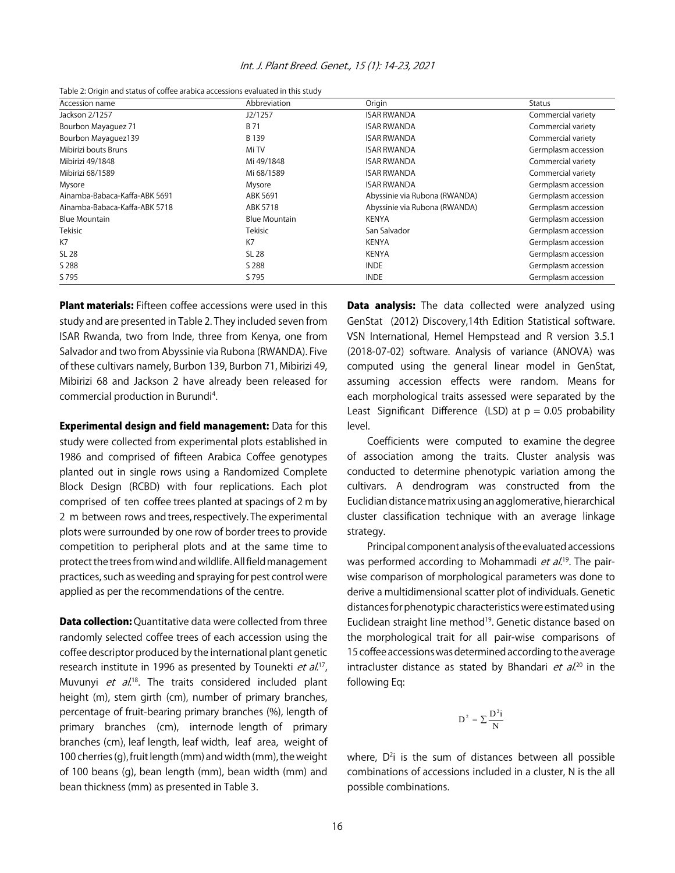|  |  |  |  | Int. J. Plant Breed. Genet., 15 (1): 14-23, 2021 |
|--|--|--|--|--------------------------------------------------|
|--|--|--|--|--------------------------------------------------|

| Table 2: Origin and status of coffee arabica accessions evaluated in this study |  |
|---------------------------------------------------------------------------------|--|
|---------------------------------------------------------------------------------|--|

| Accession name                | Abbreviation         | Origin                        | Status              |
|-------------------------------|----------------------|-------------------------------|---------------------|
| Jackson 2/1257                | J2/1257              | <b>ISAR RWANDA</b>            | Commercial variety  |
| Bourbon Mayaguez 71           | B 71                 | <b>ISAR RWANDA</b>            | Commercial variety  |
| Bourbon Mayaquez139           | B 139                | <b>ISAR RWANDA</b>            | Commercial variety  |
| Mibirizi bouts Bruns          | Mi TV                | <b>ISAR RWANDA</b>            | Germplasm accession |
| Mibirizi 49/1848              | Mi 49/1848           | <b>ISAR RWANDA</b>            | Commercial variety  |
| Mibirizi 68/1589              | Mi 68/1589           | <b>ISAR RWANDA</b>            | Commercial variety  |
| Mysore                        | Mysore               | <b>ISAR RWANDA</b>            | Germplasm accession |
| Ainamba-Babaca-Kaffa-ABK 5691 | ABK 5691             | Abyssinie via Rubona (RWANDA) | Germplasm accession |
| Ainamba-Babaca-Kaffa-ABK 5718 | ABK 5718             | Abyssinie via Rubona (RWANDA) | Germplasm accession |
| <b>Blue Mountain</b>          | <b>Blue Mountain</b> | KENYA                         | Germplasm accession |
| Tekisic                       | Tekisic              | San Salvador                  | Germplasm accession |
| K7                            | K7                   | <b>KENYA</b>                  | Germplasm accession |
| SL 28                         | <b>SL 28</b>         | <b>KENYA</b>                  | Germplasm accession |
| S 288                         | S 288                | <b>INDE</b>                   | Germplasm accession |
| S 795                         | S 795                | <b>INDE</b>                   | Germplasm accession |

**Plant materials:** Fifteen coffee accessions were used in this study and are presented in Table 2. They included seven from ISAR Rwanda, two from Inde, three from Kenya, one from Salvador and two from Abyssinie via Rubona (RWANDA). Five of these cultivars namely, Burbon 139, Burbon 71, Mibirizi 49, Mibirizi 68 and Jackson 2 have already been released for commercial production in Burundi<sup>4</sup>.

Experimental design and field management: Data for this study were collected from experimental plots established in 1986 and comprised of fifteen Arabica Coffee genotypes planted out in single rows using a Randomized Complete Block Design (RCBD) with four replications. Each plot comprised of ten coffee trees planted at spacings of 2 m by 2 m between rows and trees, respectively. The experimental plots were surrounded by one row of border trees to provide competition to peripheral plots and at the same time to protect the trees from wind and wildlife. All field management practices, such as weeding and spraying for pest control were applied as per the recommendations of the centre.

**Data collection:** Quantitative data were collected from three randomly selected coffee trees of each accession using the coffee descriptor produced by the international plant genetic research institute in 1996 as presented by Tounekti et al.<sup>17</sup>, Muvunyi et al.<sup>18</sup>. The traits considered included plant height (m), stem girth (cm), number of primary branches, percentage of fruit-bearing primary branches (%), length of primary branches (cm), internode length of primary branches (cm), leaf length, leaf width, leaf area, weight of 100 cherries (g), fruit length (mm) and width (mm), the weight of 100 beans (g), bean length (mm), bean width (mm) and bean thickness (mm) as presented in Table 3.

**Data analysis:** The data collected were analyzed using GenStat (2012) Discovery,14th Edition Statistical software. VSN International, Hemel Hempstead and R version 3.5.1 (2018-07-02) software. Analysis of variance (ANOVA) was computed using the general linear model in GenStat, assuming accession effects were random. Means for each morphological traits assessed were separated by the Least Significant Difference (LSD) at  $p = 0.05$  probability level.

Coefficients were computed to examine the degree of association among the traits. Cluster analysis was conducted to determine phenotypic variation among the cultivars. A dendrogram was constructed from the Euclidian distance matrix using an agglomerative, hierarchical cluster classification technique with an average linkage strategy.

Principal component analysis of the evaluated accessions was performed according to Mohammadi *et al*.<sup>19</sup>. The pairwise comparison of morphological parameters was done to derive a multidimensional scatter plot of individuals. Genetic distances for phenotypic characteristics were estimated using Euclidean straight line method<sup>19</sup>. Genetic distance based on the morphological trait for all pair-wise comparisons of 15 coffee accessions was determined according to the average intracluster distance as stated by Bhandari *et al.*<sup>20</sup> in the following Eq:

$$
D^2 = \sum \frac{D^2 i}{N}
$$

where, D<sup>2</sup>i is the sum of distances between all possible combinations of accessions included in a cluster, N is the all possible combinations.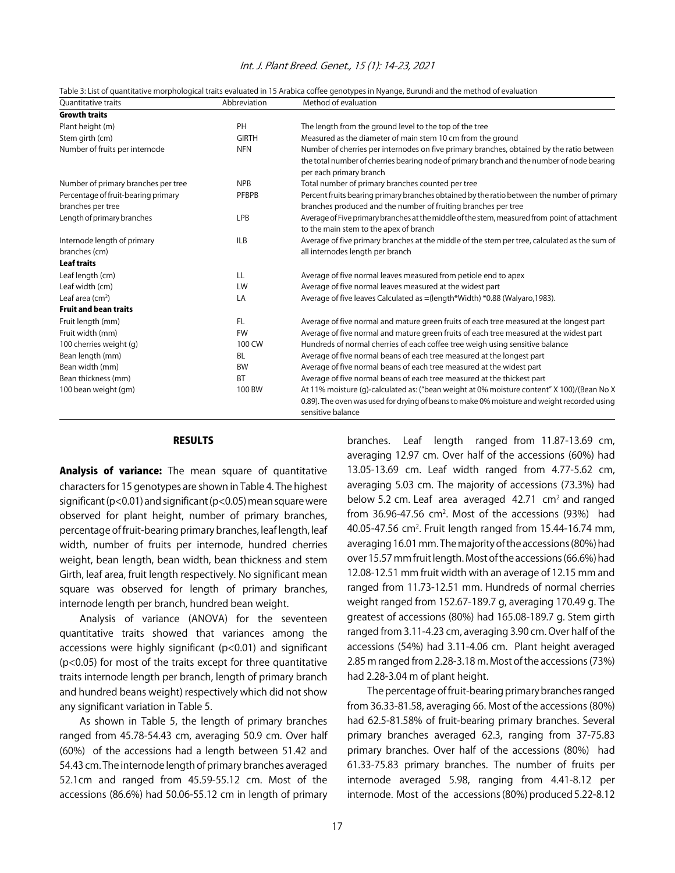| <b>Ouantitative traits</b>                               | Abbreviation | Method of evaluation                                                                                                                                                                                               |
|----------------------------------------------------------|--------------|--------------------------------------------------------------------------------------------------------------------------------------------------------------------------------------------------------------------|
| <b>Growth traits</b>                                     |              |                                                                                                                                                                                                                    |
| Plant height (m)                                         | PH           | The length from the ground level to the top of the tree                                                                                                                                                            |
| Stem girth (cm)                                          | <b>GIRTH</b> | Measured as the diameter of main stem 10 cm from the ground                                                                                                                                                        |
| Number of fruits per internode                           | <b>NFN</b>   | Number of cherries per internodes on five primary branches, obtained by the ratio between<br>the total number of cherries bearing node of primary branch and the number of node bearing<br>per each primary branch |
| Number of primary branches per tree                      | <b>NPB</b>   | Total number of primary branches counted per tree                                                                                                                                                                  |
| Percentage of fruit-bearing primary<br>branches per tree | PFBPB        | Percent fruits bearing primary branches obtained by the ratio between the number of primary<br>branches produced and the number of fruiting branches per tree                                                      |
| Length of primary branches                               | LPB          | Average of Five primary branches at the middle of the stem, measured from point of attachment<br>to the main stem to the apex of branch                                                                            |
| Internode length of primary<br>branches (cm)             | <b>ILB</b>   | Average of five primary branches at the middle of the stem per tree, calculated as the sum of<br>all internodes length per branch                                                                                  |
| <b>Leaf traits</b>                                       |              |                                                                                                                                                                                                                    |
| Leaf length (cm)                                         | LL           | Average of five normal leaves measured from petiole end to apex                                                                                                                                                    |
| Leaf width (cm)                                          | LW           | Average of five normal leaves measured at the widest part                                                                                                                                                          |
| Leaf area $(cm2)$                                        | LA           | Average of five leaves Calculated as = (length*Width) *0.88 (Walyaro, 1983).                                                                                                                                       |
| <b>Fruit and bean traits</b>                             |              |                                                                                                                                                                                                                    |
| Fruit length (mm)                                        | FL.          | Average of five normal and mature green fruits of each tree measured at the longest part                                                                                                                           |
| Fruit width (mm)                                         | <b>FW</b>    | Average of five normal and mature green fruits of each tree measured at the widest part                                                                                                                            |
| 100 cherries weight (g)                                  | 100 CW       | Hundreds of normal cherries of each coffee tree weigh using sensitive balance                                                                                                                                      |
| Bean length (mm)                                         | <b>BL</b>    | Average of five normal beans of each tree measured at the longest part                                                                                                                                             |
| Bean width (mm)                                          | <b>BW</b>    | Average of five normal beans of each tree measured at the widest part                                                                                                                                              |
| Bean thickness (mm)                                      | <b>BT</b>    | Average of five normal beans of each tree measured at the thickest part                                                                                                                                            |
| 100 bean weight (gm)                                     | 100 BW       | At 11% moisture (g)-calculated as: ("bean weight at 0% moisture content" X 100)/(Bean No X<br>0.89). The oven was used for drying of beans to make 0% moisture and weight recorded using<br>sensitive balance      |

# Int. J. Plant Breed. Genet., 15 (1): 14-23, 2021

| Table 3: List of quantitative morphological traits evaluated in 15 Arabica coffee genotypes in Nyange, Burundi and the method of evaluation |  |
|---------------------------------------------------------------------------------------------------------------------------------------------|--|
|                                                                                                                                             |  |

# RESULTS

Analysis of variance: The mean square of quantitative characters for 15 genotypes are shown in Table 4. The highest significant (p<0.01) and significant (p<0.05) mean square were observed for plant height, number of primary branches, percentage of fruit-bearing primary branches, leaf length, leaf width, number of fruits per internode, hundred cherries weight, bean length, bean width, bean thickness and stem Girth, leaf area, fruit length respectively. No significant mean square was observed for length of primary branches, internode length per branch, hundred bean weight.

Analysis of variance (ANOVA) for the seventeen quantitative traits showed that variances among the accessions were highly significant (p<0.01) and significant (p<0.05) for most of the traits except for three quantitative traits internode length per branch, length of primary branch and hundred beans weight) respectively which did not show any significant variation in Table 5.

As shown in Table 5, the length of primary branches ranged from 45.78-54.43 cm, averaging 50.9 cm. Over half (60%) of the accessions had a length between 51.42 and 54.43 cm. The internode length of primary branches averaged 52.1cm and ranged from 45.59-55.12 cm. Most of the accessions (86.6%) had 50.06-55.12 cm in length of primary

branches. Leaf length ranged from 11.87-13.69 cm, averaging 12.97 cm. Over half of the accessions (60%) had 13.05-13.69 cm. Leaf width ranged from 4.77-5.62 cm, averaging 5.03 cm. The majority of accessions (73.3%) had below 5.2 cm. Leaf area averaged  $42.71$  cm<sup>2</sup> and ranged from 36.96-47.56  $cm<sup>2</sup>$ . Most of the accessions (93%) had 40.05-47.56 cm<sup>2</sup>. Fruit length ranged from 15.44-16.74 mm, averaging 16.01 mm. The majority of the accessions (80%) had over 15.57 mm fruit length. Most of the accessions (66.6%) had 12.08-12.51 mm fruit width with an average of 12.15 mm and ranged from 11.73-12.51 mm. Hundreds of normal cherries weight ranged from 152.67-189.7 g, averaging 170.49 g. The greatest of accessions (80%) had 165.08-189.7 g. Stem girth ranged from 3.11-4.23 cm, averaging 3.90 cm. Over half of the accessions (54%) had 3.11-4.06 cm. Plant height averaged 2.85 m ranged from 2.28-3.18 m. Most of the accessions (73%) had 2.28-3.04 m of plant height.

The percentage of fruit-bearing primary branches ranged from 36.33-81.58, averaging 66. Most of the accessions (80%) had 62.5-81.58% of fruit-bearing primary branches. Several primary branches averaged 62.3, ranging from 37-75.83 primary branches. Over half of the accessions (80%) had 61.33-75.83 primary branches. The number of fruits per internode averaged 5.98, ranging from 4.41-8.12 per internode. Most of the accessions (80%) produced 5.22-8.12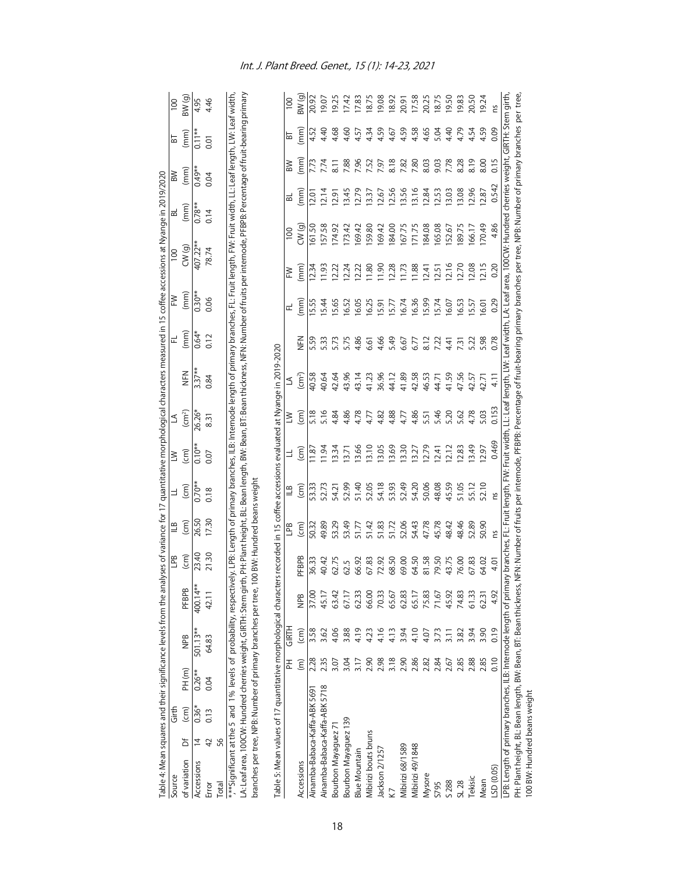| Source                                                                                                                                                                                                             |                | Girth                     |                      |                      |              | 9d<br>L            | $\sqcup$                    | $\exists$              | $\geq$             | ≤                          |                                                                                                                                                      | 군       | ⋛            | $\overline{100}$ | ಹ        |       | $\mathbb{R}$      | 5        | $\overline{001}$ |
|--------------------------------------------------------------------------------------------------------------------------------------------------------------------------------------------------------------------|----------------|---------------------------|----------------------|----------------------|--------------|--------------------|-----------------------------|------------------------|--------------------|----------------------------|------------------------------------------------------------------------------------------------------------------------------------------------------|---------|--------------|------------------|----------|-------|-------------------|----------|------------------|
| of variation                                                                                                                                                                                                       | ъ              | $\widehat{(\mathsf{cm})}$ | PH(m)                | NPB                  | <b>PFBPB</b> | $\left( cm\right)$ | $\left( cm\right)$          | (cm)                   | $\left( cm\right)$ | $\left(\text{cm}^2\right)$ | NHZ                                                                                                                                                  | (mm)    | (mm)         | CW(g)            | (mm)     |       | (mm)              | (mm)     | BW (g)           |
| Accessions                                                                                                                                                                                                         | $\overline{4}$ | $0.36*$                   | $0.26***$            | 501.13**             | 400.14**     | 23.40              | 26.50                       | $0.70**$               | $0.10**$           | 26.26*                     | $3.37**$                                                                                                                                             | $0.64*$ | $0.30**$     | $407.22*$        | $0.78**$ |       | $0.49**$          | $0.11**$ | 4.95             |
| Error                                                                                                                                                                                                              | $\overline{4}$ | 0.13                      | 0.04                 | 64.83                | 42.11        | 21.30              | <b>17.30</b>                | 0.18                   | 0.07               | 8.31                       | 0.84                                                                                                                                                 | 0.12    | 0.06         | 78.74            | 0.14     | 0.04  |                   | 0.01     | 4.46             |
| Total                                                                                                                                                                                                              | 56             |                           |                      |                      |              |                    |                             |                        |                    |                            |                                                                                                                                                      |         |              |                  |          |       |                   |          |                  |
| ***Significant at the 5 and 1% levels of probability, respectively. LPB: Length of primany branches, ILB: Internode length of primary branches, FL: Fruit length, FW: Fruit width, LL: Leaf length, LW: Leaf width |                |                           |                      |                      |              |                    |                             |                        |                    |                            |                                                                                                                                                      |         |              |                  |          |       |                   |          |                  |
| LA: Leaf area, 100CW: Hundred cherries weight, GIRTH: Stem gir                                                                                                                                                     |                |                           |                      |                      |              |                    |                             |                        |                    |                            | th, PH: Plant height, BL: Bean length, BW: Bean, BT: Bean thickness, NFN: Number of fruits per internode, PFBPB: Percentage of fruit-bearing primary |         |              |                  |          |       |                   |          |                  |
|                                                                                                                                                                                                                    |                |                           |                      |                      |              |                    |                             |                        |                    |                            |                                                                                                                                                      |         |              |                  |          |       |                   |          |                  |
| branches per tree, NPB: Number of primary branches per tree, 1                                                                                                                                                     |                |                           |                      |                      |              |                    | 00 BW: Hundred beans weight |                        |                    |                            |                                                                                                                                                      |         |              |                  |          |       |                   |          |                  |
| Table 5: Mean values of 17 quantitative morphological characters recorded in 15 coffee accessions evaluated at Nyange in 2019-2020                                                                                 |                |                           |                      |                      |              |                    |                             |                        |                    |                            |                                                                                                                                                      |         |              |                  |          |       |                   |          |                  |
|                                                                                                                                                                                                                    |                |                           | 폰                    | <b>GIRTH</b>         |              |                    | <b>GdT</b>                  | $\stackrel{6}{=}$      | ∃                  | ≧                          | S                                                                                                                                                    |         | ᇆ            | ≳                | 100      | ᅙ     | <b>N</b>          | 눕        | 100              |
| Accessions                                                                                                                                                                                                         |                |                           | $\widehat{\epsilon}$ | $\widehat{\epsilon}$ | <b>RaM</b>   | <b>PFBPB</b>       | $\widehat{(\epsilon)}$      | $\widehat{(\epsilon)}$ | ίε                 | ίευ)                       | $\left(\text{cm}^2\right)$                                                                                                                           | NHZ     | (mm)         | (mm)             | CW(g)    | (mm)  | (mm)              | (mm)     | BW(q)            |
| Ainamba-Babaca-Kaffa-ABK 5691                                                                                                                                                                                      |                |                           | 2.28                 | 3.58                 | 37.00        | 36.33              | 50.32                       | 53.33                  | 1.8                | 5.18                       | 40.58                                                                                                                                                | 5.59    | <b>5.55</b>  |                  | 61.50    | 12.01 | 7.73              | 4.52     | 20.92            |
| Ainamba-Babaca-Kaffa-ABK 5718                                                                                                                                                                                      |                |                           | 2.35                 | 3.62                 | 45.17        | 40.42              | 49.89                       | 52.73                  | 1.94               | 5.16                       | 40.64                                                                                                                                                | 5.33    | $-5.44$      | 1.93             | 57.58    | 2.14  | 7.74              | 4.40     | 19.07            |
| Bourbon Mayaguez 71                                                                                                                                                                                                |                |                           | 3.07                 | 4.06                 | 63.42        | 62.75              | 53.29                       | 54.21                  | 13.34              | 4.84                       | 42.64                                                                                                                                                | 5.73    | I5.65        | 12.22            | 174.92   | 2.91  | $\overline{8.11}$ | 4.68     | 19.25            |
| Bourbon Mayaguez 139                                                                                                                                                                                               |                |                           | 3.04                 | 3.88                 | 67.17        | 62.5               | 53.49                       | 52.99                  | 13.71              | 4.86                       | 43.96                                                                                                                                                | 5.75    | 16.52        | 12.24            | 173.42   | 13.45 | 7.88              | 4.60     | 17.42            |
| <b>Blue Mountain</b>                                                                                                                                                                                               |                |                           | 3.17                 | 4.19                 | 62.33        | 66.92              | 51.77                       | 51.40                  | 13.66              | 4.78                       | 43.14                                                                                                                                                | 4.86    | 16.05        | 12.22            | 69.42    | 12.79 | 7.96              | 4.57     | 17.83            |
| Mibirizi bouts bruns                                                                                                                                                                                               |                |                           | 2.90                 | 4.23                 | 66.00        | 67.83              | 51.42                       | 52.05                  | 13.10              | 4.77                       | 41.23                                                                                                                                                | 6.61    | 16.25        | $\frac{80}{2}$   | 59.80    | 13.37 | 7.52              | 4.34     | 18.75            |
| Jackson 2/1257                                                                                                                                                                                                     |                |                           | 2.98                 | 4.16                 | 70.33        | 72.92              | 51.83                       | 54.18                  | 13.05              | 4.82                       | 36.96                                                                                                                                                | 4.66    | <b>15.91</b> | 1.90             | 69.42    | 12.67 | 7.97              | 4.59     | 19.08            |
| K7                                                                                                                                                                                                                 |                |                           | 3.18                 | 4.13                 | 65.67        | 68.50              | 51.72                       | 53.93                  | 13.69              | 4.88                       | 44.12                                                                                                                                                | 5.49    | 15.7         | 12.28            | 84.00    | 12.56 | 8.18              | 4.67     | 18.92            |
| Mibirizi 68/1589                                                                                                                                                                                                   |                |                           | 2.90                 | 3.94                 | 62.83        | 69.00              | 52.06                       | 52.49                  | 13.30              | 4.77                       | 41.89                                                                                                                                                | 6.67    | 16.74        | $\frac{17}{2}$   | 67.75    | 13.56 | 7.82              | 4.59     | 20.91<br>17.58   |
| Mibirizi 49/1848                                                                                                                                                                                                   |                |                           | 2.86                 | 4.10                 | 65.17        | 64.50              | 54.43                       | 54.20                  | 13.27              | 4.86                       | 42.58                                                                                                                                                | 6.77    | 16.36        | 11.88            | 171.75   | 13.16 | 7.80              | 4.58     |                  |
| Mysore                                                                                                                                                                                                             |                |                           | 2.82                 | 4.07                 | 75.83        | 81.58              | 47.78<br>45.78              | 50.06                  | 12.79              | 5.51                       | 46.53                                                                                                                                                | 8.12    | I5.99        | 12.41            | 84.08    | 12.84 | 8.03              | 4.65     | 20.25            |
| S795                                                                                                                                                                                                               |                |                           | 2.84                 | 3.73                 | 71.67        | 79.50              |                             | 48.08                  | 12.41              | 5.46                       | 44.71                                                                                                                                                |         | 15.74        | $12.5^{\circ}$   | 165.08   | 12.53 | 9.03              | 5.04     | 18.75            |
| S 288                                                                                                                                                                                                              |                |                           | 2.67                 | 3.11                 | 45.92        | 43.75              | 48.42                       | 45.59                  | 12.12              | 5.20                       | 41.59                                                                                                                                                | 441     | 16.07        | 12.16            | 52.67    | 3.03  | 7.78              | 4.40     | 19.50            |
| SL 28                                                                                                                                                                                                              |                |                           | 2.85                 | 3.82                 | 74.83        | 76.00              | 48.46                       | 51.05                  | 12.83              | 5.62                       | 47.56                                                                                                                                                | 7.31    | 16.53        | 12.7C            | 89.75    | 3.08  | 8.28              | 4.79     | 19.83            |
| Tekisic                                                                                                                                                                                                            |                |                           | 2.88                 | 3.94                 | 61.33        | 67.83              | 52.89                       | 55.12                  | 13.49              | 4.78                       | 42.57                                                                                                                                                | 5.22    | I5.57        | 12.08            | 66.17    | 2.96  | 8.19              | 4.54     | 20.50            |
| Mean                                                                                                                                                                                                               |                |                           | 2.85                 | 3.90                 | 62.31        | 64.02              | 50.90                       | 52.10                  | 12.97              | 5.03                       | 42.71                                                                                                                                                | 5.98    | 16.01        | 12.15            | 70.49    | 2.87  | 8.00              | 4.59     | 19.24            |
| LSD (0.05)                                                                                                                                                                                                         |                |                           | 0.10                 | 0.19                 | 4.92         | 4.01               | ns                          | ns                     | 0.469              | 0.153                      | 4.11                                                                                                                                                 | 0.78    | 0.29         | 0.20             | 4.86     | 0.542 | 0.15              | 0.09     | ns               |
| LPB: Length of primary branches, ILB: Internode length of primary branches, FL: Fruit length, FW: Fruit width, LL: Leaf length, LW: Leaf width, LA: Leaf area, 100CW: Hundred cherries weight, GIRTH: Stem girth   |                |                           |                      |                      |              |                    |                             |                        |                    |                            |                                                                                                                                                      |         |              |                  |          |       |                   |          |                  |
| PH: Plant height, BL: Bean length, BW: Bean, BT: Bean thickness,                                                                                                                                                   |                |                           |                      |                      |              |                    |                             |                        |                    |                            | NFN: Number of fruits per internode, PFBPB: Percentage of fruit-bearing primary branches per tree, NPB: Number of primary branches per tree.         |         |              |                  |          |       |                   |          |                  |
| 100 BW: Hundred beans weight                                                                                                                                                                                       |                |                           |                      |                      |              |                    |                             |                        |                    |                            |                                                                                                                                                      |         |              |                  |          |       |                   |          |                  |

Table 4: Mean squares and their significance levels from the analyses of variance for 17 quantitative morphological characters measured in 15 coffee accessions at Nyange in 2019/2020

Table 4: Mean squares and their significance levels from the analyses of variance for 17 quantitative morphological characters measured in 15 coffee accessions at Nyange in 2019/2020

# Int. J. Plant Breed. Genet., 15 (1): 14-23, 2021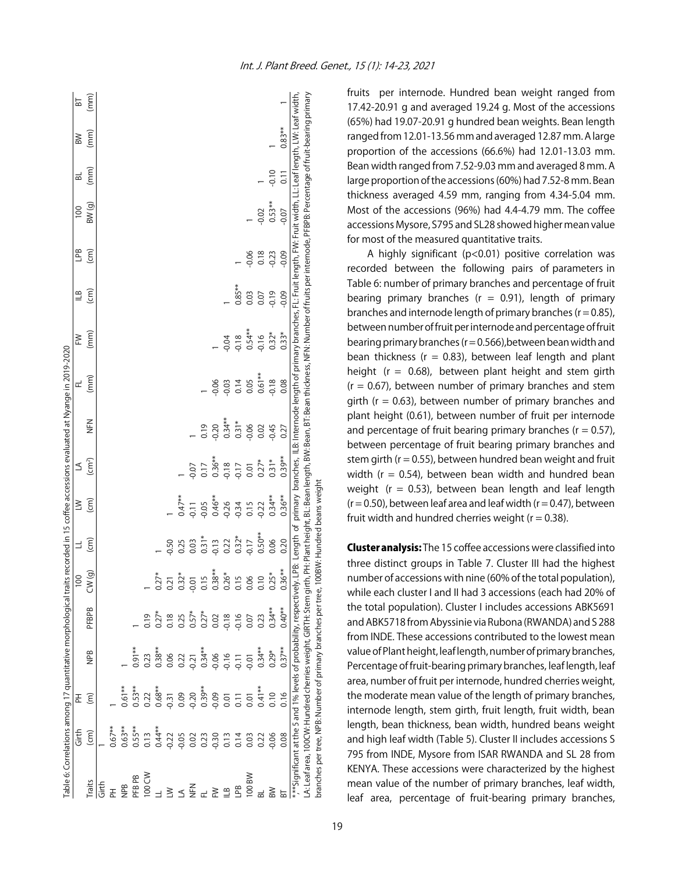|                                                              |                                      |                                                                |                                                  |                  |                                                                                       |                             |                |                    |          | Table 6: Correlations among 17 quantitative morphological traits recorded in 15 coffee accessions evaluated at Nyange in 2019-2020 |                                                                                                                                                                                                            |                         |                         |                   |                   |             |      |
|--------------------------------------------------------------|--------------------------------------|----------------------------------------------------------------|--------------------------------------------------|------------------|---------------------------------------------------------------------------------------|-----------------------------|----------------|--------------------|----------|------------------------------------------------------------------------------------------------------------------------------------|------------------------------------------------------------------------------------------------------------------------------------------------------------------------------------------------------------|-------------------------|-------------------------|-------------------|-------------------|-------------|------|
|                                                              | Girth                                | 폰                                                              |                                                  |                  | 8                                                                                     |                             | $\geq$         | S                  |          | 군                                                                                                                                  | MH                                                                                                                                                                                                         | $\stackrel{\sim}{=}$    | ed<br>T                 | $\overline{100}$  | ಹ                 | $\geqslant$ | 눕    |
| Traits                                                       | $\overline{(\text{cm})}$             | $\widehat{\epsilon}$                                           | <b>SdN</b>                                       | <b>PFBPB</b>     | CW(g)                                                                                 | $\widehat{c}$               | $\widehat{cm}$ | (cm <sup>2</sup> ) | NHZ      | (mm)                                                                                                                               | (mm)                                                                                                                                                                                                       | $\widehat{(\text{cm})}$ | $\widehat{(\text{cm})}$ | BW <sub>(g)</sub> | (mm)              | (mm)        | (mm) |
| ع <del>ا</del> تی                                            |                                      |                                                                |                                                  |                  |                                                                                       |                             |                |                    |          |                                                                                                                                    |                                                                                                                                                                                                            |                         |                         |                   |                   |             |      |
|                                                              | $0.67**$                             |                                                                |                                                  |                  |                                                                                       |                             |                |                    |          |                                                                                                                                    |                                                                                                                                                                                                            |                         |                         |                   |                   |             |      |
| <b>SdN</b>                                                   | $0.63**$                             | $0.61***$                                                      |                                                  |                  |                                                                                       |                             |                |                    |          |                                                                                                                                    |                                                                                                                                                                                                            |                         |                         |                   |                   |             |      |
| PFB PB                                                       | $0.55**$                             | $0.53***$                                                      | $0.91**$                                         |                  |                                                                                       |                             |                |                    |          |                                                                                                                                    |                                                                                                                                                                                                            |                         |                         |                   |                   |             |      |
| 100 CW                                                       | 0.13                                 | 0.22                                                           | 0.23                                             | 0.19             |                                                                                       |                             |                |                    |          |                                                                                                                                    |                                                                                                                                                                                                            |                         |                         |                   |                   |             |      |
|                                                              | $0.44**$                             | $0.68***$                                                      | $0.38**$                                         | $0.27*$          | $0.27*$                                                                               |                             |                |                    |          |                                                                                                                                    |                                                                                                                                                                                                            |                         |                         |                   |                   |             |      |
| $\geq$                                                       |                                      |                                                                |                                                  |                  | 0.21                                                                                  | $-0.50$                     |                |                    |          |                                                                                                                                    |                                                                                                                                                                                                            |                         |                         |                   |                   |             |      |
|                                                              | $-0.22$<br>$-0.05$                   | $-0.31$<br>0.09                                                | 0.022                                            | $0.18$<br>$0.25$ | $0.32*$                                                                               | 0.25                        | $0.47***$      |                    |          |                                                                                                                                    |                                                                                                                                                                                                            |                         |                         |                   |                   |             |      |
| N<br>三                                                       | $0.02$<br>$0.23$<br>$0.30$<br>$0.13$ |                                                                |                                                  | $0.57*$          | $-0.01$                                                                               | 0.03                        | 0.11           | 0.07               |          |                                                                                                                                    |                                                                                                                                                                                                            |                         |                         |                   |                   |             |      |
|                                                              |                                      | $0.30$<br>$0.39$<br>$0.09$<br>$0.01$<br>$0.11$                 | $0.31$<br>$0.34**$<br>$0.66$<br>$0.71$<br>$0.11$ | $0.27*$          | $\begin{array}{c} 15 \\ 0.38 \\ 0.26 \\ 0.015 \\ 0.00 \\ 0.00 \\ 0.10 \\ \end{array}$ | $0.31*$                     | 0.05           | 0.17               | 0.19     |                                                                                                                                    |                                                                                                                                                                                                            |                         |                         |                   |                   |             |      |
| ≧                                                            |                                      |                                                                |                                                  | 0.02             |                                                                                       | $-0.13$                     | $0.46***$      | $0.36**$           | 0.20     | $-0.06$                                                                                                                            |                                                                                                                                                                                                            |                         |                         |                   |                   |             |      |
| $\overline{18}$                                              |                                      |                                                                |                                                  | $-0.18$          |                                                                                       | 0.22                        | 0.26           | 0.18               | $0.34**$ | 0.03                                                                                                                               | 0.04                                                                                                                                                                                                       |                         |                         |                   |                   |             |      |
| <b>Bd</b>                                                    | 0.14                                 |                                                                |                                                  | $-0.16$          |                                                                                       | $0.32*$                     | 0.34           | 0.17               | $0.31*$  | 0.14                                                                                                                               | $-0.18$                                                                                                                                                                                                    | $0.85**$                |                         |                   |                   |             |      |
| 100 BW                                                       | 0.03                                 | 0.01                                                           | $-0.01$                                          | 0.07             |                                                                                       | 0.17                        | 0.15           | 0.01               | $-0.06$  | 0.05                                                                                                                               | $0.54**$                                                                                                                                                                                                   | 0.03                    | 0.06                    |                   |                   |             |      |
|                                                              | 0.22                                 | $0.41***$                                                      | $0.34***$                                        | 0.23             |                                                                                       | $0.50**$                    | 0.22           | $0.27*$            | 0.02     | $0.61***$                                                                                                                          | $-0.16$                                                                                                                                                                                                    | 0.07                    | 0.18                    | $-0.02$           |                   |             |      |
|                                                              | 0.06                                 | 0.10                                                           | $0.29*$                                          | $0.34**$         | $0.25*$                                                                               | 0.06                        | $0.34***$      | $0.31*$            | $-0.45$  | $-0.18$                                                                                                                            | $0.32*$                                                                                                                                                                                                    | $-0.19$                 | $-0.23$                 | $0.53**$          | $-0.10$           |             |      |
|                                                              | 0.08                                 | 0.16                                                           | $0.37**$                                         | $0.40**$         | $.36**$                                                                               | 0.20                        | $0.36**$       | $0.39**$           | 0.27     | 0.08                                                                                                                               | $0.33*$                                                                                                                                                                                                    | $-0.09$                 | $-0.09$                 | $-0.07$           | $\overline{0.11}$ | $0.83**$    |      |
|                                                              |                                      |                                                                |                                                  |                  |                                                                                       |                             |                |                    |          |                                                                                                                                    | *,**Significant at the 5 and 1% levels of probability, respectively. LPB: Length of primars, LB: Internode length of primary branches, FL: Fruit length, FW: Fruit width, LL: Leaf length, LW: Leaf width, |                         |                         |                   |                   |             |      |
|                                                              |                                      | A: Leaf area, 100CW: Hundred cherries weight, GIRTH: Stem gir. |                                                  |                  |                                                                                       |                             |                |                    |          |                                                                                                                                    | th, PH: Plant height, BL: Bean length, BW: Bean, BT: Bean thickness, NFN: Number of fruits per internode, PFBPB: Percentage of fruit-bearing primary                                                       |                         |                         |                   |                   |             |      |
| branches per tree, NPB: Number of primary branches per tree, |                                      |                                                                |                                                  |                  |                                                                                       | 100BW: Hundred beans weight |                |                    |          |                                                                                                                                    |                                                                                                                                                                                                            |                         |                         |                   |                   |             |      |

fruits per internode. Hundred bean weight ranged from 17.42-20.91 g and averaged 19.24 g. Most of the accessions (65%) had 19.07-20.91 g hundred bean weights. Bean length ranged from 12.01-13.56 mm and averaged 12.87 mm. A large proportion of the accessions (66.6%) had 12.01-13.03 mm. Bean width ranged from 7.52-9.03 mm and averaged 8 mm. A large proportion of the accessions (60%) had 7.52-8 mm. Bean thickness averaged 4.59 mm, ranging from 4.34-5.04 mm. Most of the accessions (96%) had 4.4-4.79 mm. The coffee accessions Mysore, S795 and SL28 showed higher mean value for most of the measured quantitative traits.

A highly significant (p<0.01) positive correlation was recorded between the following pairs of parameters in Table 6: number of primary branches and percentage of fruit bearing primary branches ( $r = 0.91$ ), length of primary branches and internode length of primary branches ( $r = 0.85$ ), between number of fruit per internode and percentage of fruit bearing primary branches ( $r = 0.566$ ), between bean width and bean thickness ( $r = 0.83$ ), between leaf length and plant height ( $r = 0.68$ ), between plant height and stem girth  $(r = 0.67)$ , between number of primary branches and stem girth ( $r = 0.63$ ), between number of primary branches and plant height (0.61), between number of fruit per internode and percentage of fruit bearing primary branches ( $r = 0.57$ ), between percentage of fruit bearing primary branches and stem girth ( $r = 0.55$ ), between hundred bean weight and fruit width ( $r = 0.54$ ), between bean width and hundred bean weight ( $r = 0.53$ ), between bean length and leaf length  $(r = 0.50)$ , between leaf area and leaf width  $(r = 0.47)$ , between fruit width and hundred cherries weight ( $r = 0.38$ ).

Cluster analysis: The 15 coffee accessions were classified into three distinct groups in Table 7. Cluster III had the highest number of accessions with nine (60% of the total population), while each cluster I and II had 3 accessions (each had 20% of the total population). Cluster I includes accessions ABK5691 and ABK5718 from Abyssinie via Rubona (RWANDA) and S 288 from INDE. These accessions contributed to the lowest mean value of Plant height, leaf length, number of primary branches, Percentage of fruit-bearing primary branches, leaf length, leaf area, number of fruit per internode, hundred cherries weight, the moderate mean value of the length of primary branches, internode length, stem girth, fruit length, fruit width, bean length, bean thickness, bean width, hundred beans weight and high leaf width (Table 5). Cluster II includes accessions S 795 from INDE, Mysore from ISAR RWANDA and SL 28 from KENYA. These accessions were characterized by the highest mean value of the number of primary branches, leaf width, leaf area, percentage of fruit-bearing primary branches,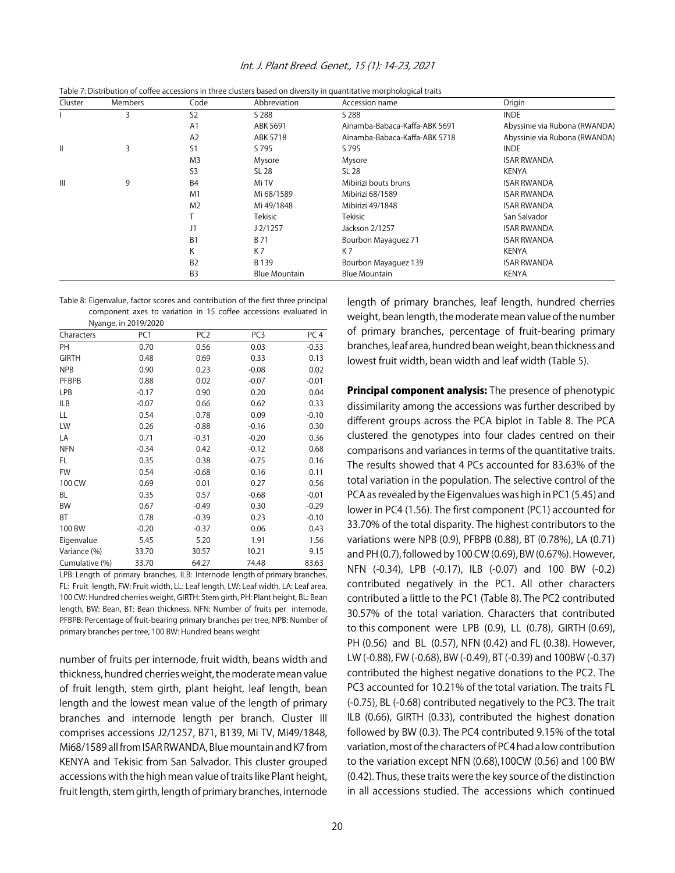|              |                |                |                      | Table 7: Distribution of coffee accessions in three clusters based on diversity in quantitative morphological traits |                               |
|--------------|----------------|----------------|----------------------|----------------------------------------------------------------------------------------------------------------------|-------------------------------|
| Cluster      | <b>Members</b> | Code           | Abbreviation         | Accession name                                                                                                       | Origin                        |
|              | 3              | S <sub>2</sub> | S 288                | S 288                                                                                                                | <b>INDE</b>                   |
|              |                | A <sub>1</sub> | ABK 5691             | Ainamba-Babaca-Kaffa-ABK 5691                                                                                        | Abyssinie via Rubona (RWANDA) |
|              |                | A <sub>2</sub> | ABK 5718             | Ainamba-Babaca-Kaffa-ABK 5718                                                                                        | Abyssinie via Rubona (RWANDA) |
| $\mathbf{I}$ | 3              | S <sub>1</sub> | S 795                | S 795                                                                                                                | <b>INDE</b>                   |
|              |                | M <sub>3</sub> | Mysore               | Mysore                                                                                                               | <b>ISAR RWANDA</b>            |
|              |                | S <sub>3</sub> | SL 28                | SL 28                                                                                                                | KENYA                         |
| Ш            | 9              | B <sub>4</sub> | Mi TV                | Mibirizi bouts bruns                                                                                                 | <b>ISAR RWANDA</b>            |
|              |                | M <sub>1</sub> | Mi 68/1589           | Mibirizi 68/1589                                                                                                     | <b>ISAR RWANDA</b>            |
|              |                | M <sub>2</sub> | Mi 49/1848           | Mibirizi 49/1848                                                                                                     | <b>ISAR RWANDA</b>            |
|              |                |                | Tekisic              | Tekisic                                                                                                              | San Salvador                  |
|              |                | J1             | J2/1257              | Jackson 2/1257                                                                                                       | <b>ISAR RWANDA</b>            |
|              |                | B <sub>1</sub> | <b>B71</b>           | Bourbon Mayaguez 71                                                                                                  | <b>ISAR RWANDA</b>            |
|              |                | K              | K7                   | K7                                                                                                                   | <b>KENYA</b>                  |
|              |                | B <sub>2</sub> | B 139                | Bourbon Mayaguez 139                                                                                                 | <b>ISAR RWANDA</b>            |
|              |                | B <sub>3</sub> | <b>Blue Mountain</b> | <b>Blue Mountain</b>                                                                                                 | <b>KENYA</b>                  |

# Int. J. Plant Breed. Genet., 15 (1): 14-23, 2021

Table 8: Eigenvalue, factor scores and contribution of the first three principal component axes to variation in 15 coffee accessions evaluated in Nyange, in 2019/2020

|                | $\frac{1}{2}$ |                 |                 |                 |
|----------------|---------------|-----------------|-----------------|-----------------|
| Characters     | PC1           | PC <sub>2</sub> | PC <sub>3</sub> | PC <sub>4</sub> |
| PH             | 0.70          | 0.56            | 0.03            | $-0.33$         |
| <b>GIRTH</b>   | 0.48          | 0.69            | 0.33            | 0.13            |
| <b>NPB</b>     | 0.90          | 0.23            | $-0.08$         | 0.02            |
| <b>PFBPB</b>   | 0.88          | 0.02            | $-0.07$         | $-0.01$         |
| LPB            | $-0.17$       | 0.90            | 0.20            | 0.04            |
| ILB            | $-0.07$       | 0.66            | 0.62            | 0.33            |
| LL             | 0.54          | 0.78            | 0.09            | $-0.10$         |
| LW             | 0.26          | $-0.88$         | $-0.16$         | 0.30            |
| LA             | 0.71          | $-0.31$         | $-0.20$         | 0.36            |
| <b>NFN</b>     | $-0.34$       | 0.42            | $-0.12$         | 0.68            |
| FL             | 0.35          | 0.38            | $-0.75$         | 0.16            |
| <b>FW</b>      | 0.54          | $-0.68$         | 0.16            | 0.11            |
| 100 CW         | 0.69          | 0.01            | 0.27            | 0.56            |
| <b>BL</b>      | 0.35          | 0.57            | $-0.68$         | $-0.01$         |
| BW             | 0.67          | $-0.49$         | 0.30            | $-0.29$         |
| BT             | 0.78          | $-0.39$         | 0.23            | $-0.10$         |
| 100 BW         | $-0.20$       | $-0.37$         | 0.06            | 0.43            |
| Eigenvalue     | 5.45          | 5.20            | 1.91            | 1.56            |
| Variance (%)   | 33.70         | 30.57           | 10.21           | 9.15            |
| Cumulative (%) | 33.70         | 64.27           | 74.48           | 83.63           |

LPB: Length of primary branches, ILB: Internode length of primary branches, FL: Fruit length, FW: Fruit width, LL: Leaf length, LW: Leaf width, LA: Leaf area, 100 CW: Hundred cherries weight, GIRTH: Stem girth, PH: Plant height, BL: Bean length, BW: Bean, BT: Bean thickness, NFN: Number of fruits per internode, PFBPB: Percentage of fruit-bearing primary branches per tree, NPB: Number of primary branches per tree, 100 BW: Hundred beans weight

number of fruits per internode, fruit width, beans width and thickness, hundred cherries weight, the moderate mean value of fruit length, stem girth, plant height, leaf length, bean length and the lowest mean value of the length of primary branches and internode length per branch. Cluster III comprises accessions J2/1257, B71, B139, Mi TV, Mi49/1848, Mi68/1589 all from ISAR RWANDA, Blue mountain and K7 from KENYA and Tekisic from San Salvador. This cluster grouped accessions with the high mean value of traits like Plant height, fruit length, stem girth, length of primary branches, internode length of primary branches, leaf length, hundred cherries weight, bean length, the moderate mean value of the number of primary branches, percentage of fruit-bearing primary branches, leaf area, hundred bean weight, bean thickness and lowest fruit width, bean width and leaf width (Table 5).

**Principal component analysis:** The presence of phenotypic dissimilarity among the accessions was further described by different groups across the PCA biplot in Table 8. The PCA clustered the genotypes into four clades centred on their comparisons and variances in terms of the quantitative traits. The results showed that 4 PCs accounted for 83.63% of the total variation in the population. The selective control of the PCA as revealed by the Eigenvalues was high in PC1 (5.45) and lower in PC4 (1.56). The first component (PC1) accounted for 33.70% of the total disparity. The highest contributors to the variations were NPB (0.9), PFBPB (0.88), BT (0.78%), LA (0.71) and PH (0.7), followed by 100 CW (0.69), BW (0.67%). However, NFN (-0.34), LPB (-0.17), ILB (-0.07) and 100 BW (-0.2) contributed negatively in the PC1. All other characters contributed a little to the PC1 (Table 8). The PC2 contributed 30.57% of the total variation. Characters that contributed to this component were LPB (0.9), LL (0.78), GIRTH (0.69), PH (0.56) and BL (0.57), NFN (0.42) and FL (0.38). However, LW (-0.88), FW (-0.68), BW (-0.49), BT (-0.39) and 100BW (-0.37) contributed the highest negative donations to the PC2. The PC3 accounted for 10.21% of the total variation. The traits FL (-0.75), BL (-0.68) contributed negatively to the PC3. The trait ILB (0.66), GIRTH (0.33), contributed the highest donation followed by BW (0.3). The PC4 contributed 9.15% of the total variation, most of the characters of PC4 had a low contribution to the variation except NFN (0.68),100CW (0.56) and 100 BW (0.42). Thus, these traits were the key source of the distinction in all accessions studied. The accessions which continued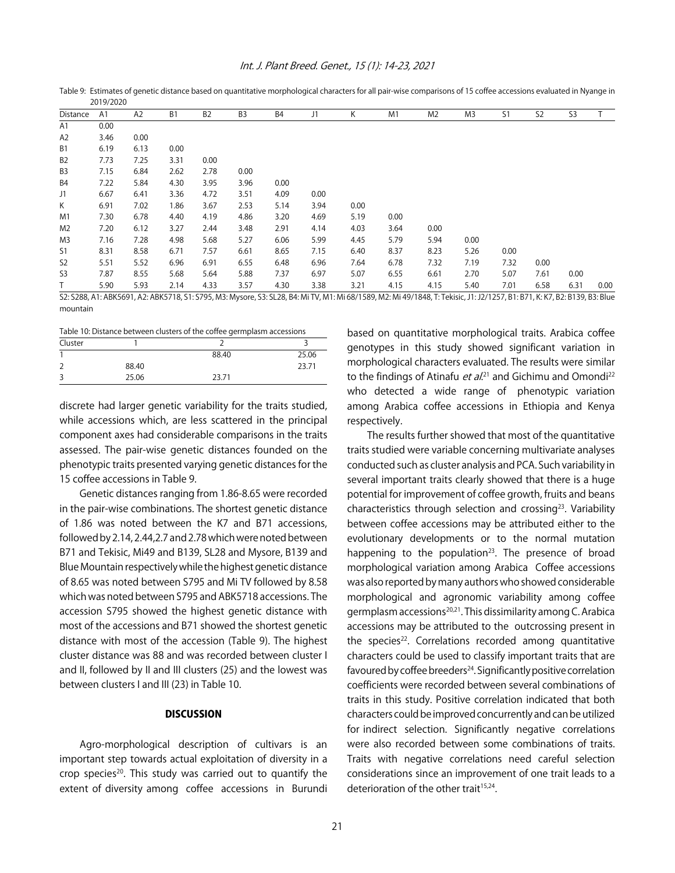| Distance       | A1   | A2   | B <sub>1</sub> | B <sub>2</sub> | B <sub>3</sub> | B <sub>4</sub> | J1   | К    | M1                                                                                                                                                                         | M <sub>2</sub> | M <sub>3</sub> | S1   | S <sub>2</sub> | S <sub>3</sub> |      |
|----------------|------|------|----------------|----------------|----------------|----------------|------|------|----------------------------------------------------------------------------------------------------------------------------------------------------------------------------|----------------|----------------|------|----------------|----------------|------|
| A1             | 0.00 |      |                |                |                |                |      |      |                                                                                                                                                                            |                |                |      |                |                |      |
| A <sub>2</sub> | 3.46 | 0.00 |                |                |                |                |      |      |                                                                                                                                                                            |                |                |      |                |                |      |
| B <sub>1</sub> | 6.19 | 6.13 | 0.00           |                |                |                |      |      |                                                                                                                                                                            |                |                |      |                |                |      |
| B <sub>2</sub> | 7.73 | 7.25 | 3.31           | 0.00           |                |                |      |      |                                                                                                                                                                            |                |                |      |                |                |      |
| B <sub>3</sub> | 7.15 | 6.84 | 2.62           | 2.78           | 0.00           |                |      |      |                                                                                                                                                                            |                |                |      |                |                |      |
| B4             | 7.22 | 5.84 | 4.30           | 3.95           | 3.96           | 0.00           |      |      |                                                                                                                                                                            |                |                |      |                |                |      |
| J1             | 6.67 | 6.41 | 3.36           | 4.72           | 3.51           | 4.09           | 0.00 |      |                                                                                                                                                                            |                |                |      |                |                |      |
| Κ              | 6.91 | 7.02 | 1.86           | 3.67           | 2.53           | 5.14           | 3.94 | 0.00 |                                                                                                                                                                            |                |                |      |                |                |      |
| M <sub>1</sub> | 7.30 | 6.78 | 4.40           | 4.19           | 4.86           | 3.20           | 4.69 | 5.19 | 0.00                                                                                                                                                                       |                |                |      |                |                |      |
| M2             | 7.20 | 6.12 | 3.27           | 2.44           | 3.48           | 2.91           | 4.14 | 4.03 | 3.64                                                                                                                                                                       | 0.00           |                |      |                |                |      |
| M3             | 7.16 | 7.28 | 4.98           | 5.68           | 5.27           | 6.06           | 5.99 | 4.45 | 5.79                                                                                                                                                                       | 5.94           | 0.00           |      |                |                |      |
| S1             | 8.31 | 8.58 | 6.71           | 7.57           | 6.61           | 8.65           | 7.15 | 6.40 | 8.37                                                                                                                                                                       | 8.23           | 5.26           | 0.00 |                |                |      |
| S <sub>2</sub> | 5.51 | 5.52 | 6.96           | 6.91           | 6.55           | 6.48           | 6.96 | 7.64 | 6.78                                                                                                                                                                       | 7.32           | 7.19           | 7.32 | 0.00           |                |      |
| S <sub>3</sub> | 7.87 | 8.55 | 5.68           | 5.64           | 5.88           | 7.37           | 6.97 | 5.07 | 6.55                                                                                                                                                                       | 6.61           | 2.70           | 5.07 | 7.61           | 0.00           |      |
|                | 5.90 | 5.93 | 2.14           | 4.33           | 3.57           | 4.30           | 3.38 | 3.21 | 4.15                                                                                                                                                                       | 4.15           | 5.40           | 7.01 | 6.58           | 6.31           | 0.00 |
|                |      |      |                |                |                |                |      |      | S2: S288, A1: ABK5691, A2: ABK5718, S1: S795, M3: Mysore, S3: SL28, B4: Mi TV, M1: Mi 68/1589, M2: Mi 49/1848, T: Tekisic, J1: J2/1257, B1: B71, K: K7, B2: B139, B3: Blue |                |                |      |                |                |      |

Table 9: Estimates of genetic distance based on quantitative morphological characters for all pair-wise comparisons of 15 coffee accessions evaluated in Nyange in 2019/2020

mountain

Table 10: Distance between clusters of the coffee germplasm accessions

| Cluster             |       |       |       |
|---------------------|-------|-------|-------|
|                     |       | 88.40 | 25.06 |
|                     | 88.40 |       | 23.71 |
| $\overline{a}$<br>C | 25.06 | 23.71 |       |

discrete had larger genetic variability for the traits studied, while accessions which, are less scattered in the principal component axes had considerable comparisons in the traits assessed. The pair-wise genetic distances founded on the phenotypic traits presented varying genetic distances for the 15 coffee accessions in Table 9.

Genetic distances ranging from 1.86-8.65 were recorded in the pair-wise combinations. The shortest genetic distance of 1.86 was noted between the K7 and B71 accessions, followed by 2.14, 2.44,2.7 and 2.78 which were noted between B71 and Tekisic, Mi49 and B139, SL28 and Mysore, B139 and Blue Mountain respectively while the highest genetic distance of 8.65 was noted between S795 and Mi TV followed by 8.58 which was noted between S795 and ABK5718 accessions. The accession S795 showed the highest genetic distance with most of the accessions and B71 showed the shortest genetic distance with most of the accession (Table 9). The highest cluster distance was 88 and was recorded between cluster I and II, followed by II and III clusters (25) and the lowest was between clusters I and III (23) in Table 10.

# **DISCUSSION**

Agro-morphological description of cultivars is an important step towards actual exploitation of diversity in a crop species<sup>20</sup>. This study was carried out to quantify the extent of diversity among coffee accessions in Burundi based on quantitative morphological traits. Arabica coffee genotypes in this study showed significant variation in morphological characters evaluated. The results were similar to the findings of Atinafu *et al*.<sup>21</sup> and Gichimu and Omondi<sup>22</sup> who detected a wide range of phenotypic variation among Arabica coffee accessions in Ethiopia and Kenya respectively.

The results further showed that most of the quantitative traits studied were variable concerning multivariate analyses conducted such as cluster analysis and PCA. Such variability in several important traits clearly showed that there is a huge potential for improvement of coffee growth, fruits and beans characteristics through selection and crossing<sup>23</sup>. Variability between coffee accessions may be attributed either to the evolutionary developments or to the normal mutation happening to the population<sup>23</sup>. The presence of broad morphological variation among Arabica Coffee accessions was also reported by many authors who showed considerable morphological and agronomic variability among coffee germplasm accessions<sup>20,21</sup>. This dissimilarity among C. Arabica accessions may be attributed to the outcrossing present in the species<sup>22</sup>. Correlations recorded among quantitative characters could be used to classify important traits that are favoured by coffee breeders $^{24}$ . Significantly positive correlation coefficients were recorded between several combinations of traits in this study. Positive correlation indicated that both characters could be improved concurrently and can be utilized for indirect selection. Significantly negative correlations were also recorded between some combinations of traits. Traits with negative correlations need careful selection considerations since an improvement of one trait leads to a deterioration of the other trait<sup>15,24</sup>.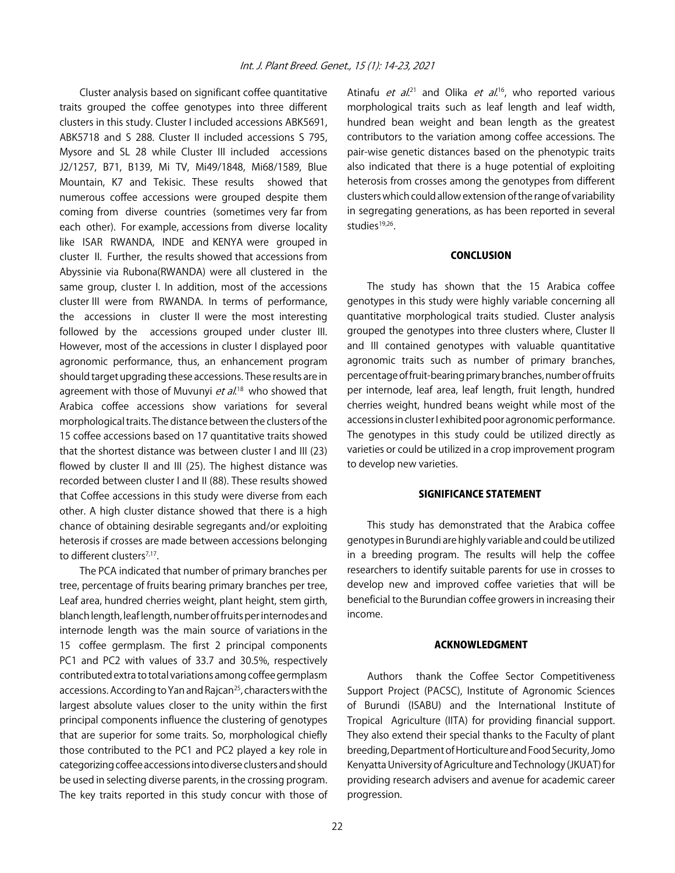Cluster analysis based on significant coffee quantitative traits grouped the coffee genotypes into three different clusters in this study. Cluster I included accessions ABK5691, ABK5718 and S 288. Cluster II included accessions S 795, Mysore and SL 28 while Cluster III included accessions J2/1257, B71, B139, Mi TV, Mi49/1848, Mi68/1589, Blue Mountain, K7 and Tekisic. These results showed that numerous coffee accessions were grouped despite them coming from diverse countries (sometimes very far from each other). For example, accessions from diverse locality like ISAR RWANDA, INDE and KENYA were grouped in cluster II. Further, the results showed that accessions from Abyssinie via Rubona(RWANDA) were all clustered in the same group, cluster I. In addition, most of the accessions cluster III were from RWANDA. In terms of performance, the accessions in cluster II were the most interesting followed by the accessions grouped under cluster III. However, most of the accessions in cluster I displayed poor agronomic performance, thus, an enhancement program should target upgrading these accessions. These results are in agreement with those of Muvunyi *et al*.<sup>18</sup> who showed that Arabica coffee accessions show variations for several morphological traits. The distance between the clusters of the 15 coffee accessions based on 17 quantitative traits showed that the shortest distance was between cluster I and III (23) flowed by cluster II and III (25). The highest distance was recorded between cluster I and II (88). These results showed that Coffee accessions in this study were diverse from each other. A high cluster distance showed that there is a high chance of obtaining desirable segregants and/or exploiting heterosis if crosses are made between accessions belonging to different clusters<sup>7,17</sup>.

The PCA indicated that number of primary branches per tree, percentage of fruits bearing primary branches per tree, Leaf area, hundred cherries weight, plant height, stem girth, blanch length, leaf length, number of fruits per internodes and internode length was the main source of variations in the 15 coffee germplasm. The first 2 principal components PC1 and PC2 with values of 33.7 and 30.5%, respectively contributed extra to total variations among coffee germplasm accessions. According to Yan and Rajcan<sup>25</sup>, characters with the largest absolute values closer to the unity within the first principal components influence the clustering of genotypes that are superior for some traits. So, morphological chiefly those contributed to the PC1 and PC2 played a key role in categorizing coffee accessions into diverse clusters and should be used in selecting diverse parents, in the crossing program. The key traits reported in this study concur with those of

Atinafu *et al.*<sup>21</sup> and Olika *et al.*<sup>16</sup>, who reported various morphological traits such as leaf length and leaf width, hundred bean weight and bean length as the greatest contributors to the variation among coffee accessions. The pair-wise genetic distances based on the phenotypic traits also indicated that there is a huge potential of exploiting heterosis from crosses among the genotypes from different clusters which could allow extension of the range of variability in segregating generations, as has been reported in several studies<sup>19,26</sup>.

# CONCLUSION

The study has shown that the 15 Arabica coffee genotypes in this study were highly variable concerning all quantitative morphological traits studied. Cluster analysis grouped the genotypes into three clusters where, Cluster II and III contained genotypes with valuable quantitative agronomic traits such as number of primary branches, percentage of fruit-bearing primary branches, number of fruits per internode, leaf area, leaf length, fruit length, hundred cherries weight, hundred beans weight while most of the accessions in cluster I exhibited poor agronomic performance. The genotypes in this study could be utilized directly as varieties or could be utilized in a crop improvement program to develop new varieties.

# SIGNIFICANCE STATEMENT

This study has demonstrated that the Arabica coffee genotypes in Burundi are highly variable and could be utilized in a breeding program. The results will help the coffee researchers to identify suitable parents for use in crosses to develop new and improved coffee varieties that will be beneficial to the Burundian coffee growers in increasing their income.

#### ACKNOWLEDGMENT

Authors thank the Coffee Sector Competitiveness Support Project (PACSC), Institute of Agronomic Sciences of Burundi (ISABU) and the International Institute of Tropical Agriculture (IITA) for providing financial support. They also extend their special thanks to the Faculty of plant breeding, Department of Horticulture and Food Security, Jomo Kenyatta University of Agriculture and Technology (JKUAT) for providing research advisers and avenue for academic career progression.